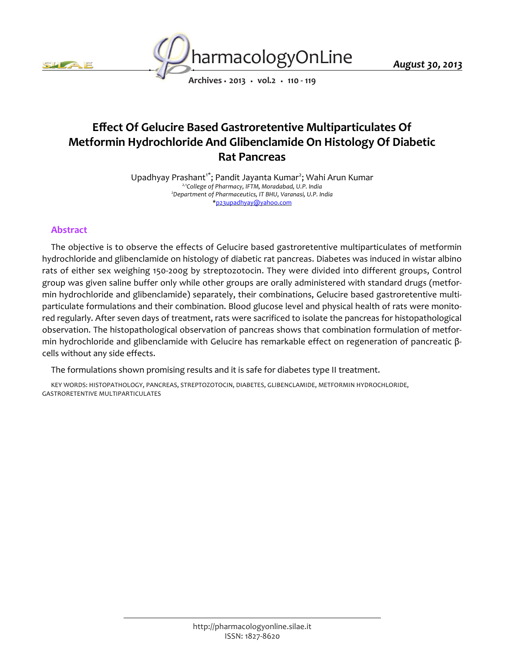



*August 30, 2013*

*Archives • 2013 • vol.2 • 110 - 119*

## *Effect Of Gelucire Based Gastroretentive Multiparticulates Of Metformin Hydrochloride And Glibenclamide On Histology Of Diabetic Rat Pancreas*

*Upadhyay Prashant1\*; Pandit Jayanta Kumar<sup>2</sup> ; Wahi Arun Kumar 2,1College of Pharmacy, IFTM, Moradabad, U.P. India <sup>2</sup>Department of Pharmaceutics, IT BHU, Varanasi, U.P. India \*p23upadhyay@yahoo.com*

## *Abstract*

*The objective is to observe the effects of Gelucire based gastroretentive multiparticulates of metformin hydrochloride and glibenclamide on histology of diabetic rat pancreas. Diabetes was induced in wistar albino*  rats of either sex weighing 150-200g by streptozotocin. They were divided into different groups, Control *group was given saline buffer only while other groups are orally administered with standard drugs (metformin hydrochloride and glibenclamide) separately, their combinations, Gelucire based gastroretentive multiparticulate formulations and their combination. Blood glucose level and physical health of rats were monito*red regularly. After seven days of treatment, rats were sacrificed to isolate the pancreas for histopathological *observation. The histopathological observation of pancreas shows that combination formulation of metformin hydrochloride and glibenclamide with Gelucire has remarkable effect on regeneration of pancreatic βcells without any side effects.*

*The formulations shown promising results and it is safe for diabetes type II treatment.*

*KEY WORDS: HISTOPATHOLOGY, PANCREAS, STREPTOZOTOCIN, DIABETES, GLIBENCLAMIDE, METFORMIN HYDROCHLORIDE, GASTRORETENTIVE MULTIPARTICULATES*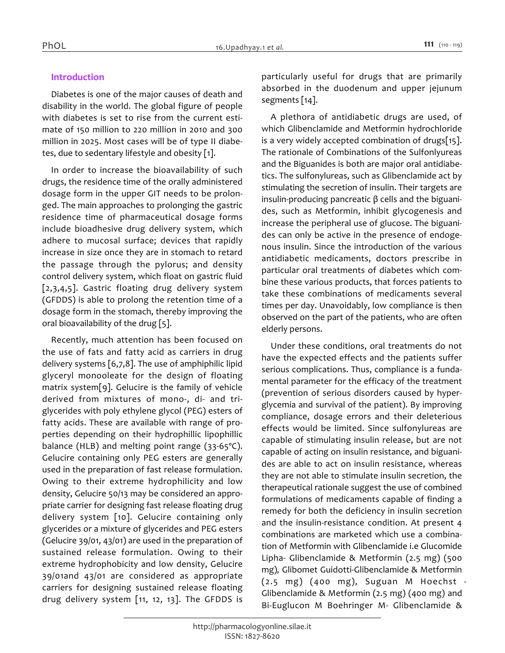#### *Introduction*

*Diabetes is one of the major causes of death and disability in the world. The global figure of people with diabetes is set to rise from the current estimate of 150 million to 220 million in 2010 and 300 million in 2025. Most cases will be of type II diabetes, due to sedentary lifestyle and obesity [1].*

*In order to increase the bioavailability of such drugs, the residence time of the orally administered dosage form in the upper GIT needs to be prolonged. The main approaches to prolonging the gastric residence time of pharmaceutical dosage forms include bioadhesive drug delivery system, which adhere to mucosal surface; devices that rapidly increase in size once they are in stomach to retard the passage through the pylorus; and density control delivery system, which float on gastric fluid [2,3,4,5]. Gastric floating drug delivery system (GFDDS) is able to prolong the retention time of a dosage form in the stomach, thereby improving the oral bioavailability of the drug [5].*

*Recently, much attention has been focused on the use of fats and fatty acid as carriers in drug delivery systems [6,7,8]. The use of amphiphilic lipid glyceryl monooleate for the design of floating matrix system[9]. Gelucire is the family of vehicle derived from mixtures of mono-, di- and triglycerides with poly ethylene glycol (PEG) esters of fatty acids. These are available with range of properties depending on their hydrophillic lipophillic balance (HLB) and melting point range (33-65ºC). Gelucire containing only PEG esters are generally used in the preparation of fast release formulation. Owing to their extreme hydrophilicity and low density, Gelucire 50/13 may be considered an appropriate carrier for designing fast release floating drug delivery system [10]. Gelucire containing only glycerides or a mixture of glycerides and PEG esters (Gelucire 39/01, 43/01) are used in the preparation of sustained release formulation. Owing to their extreme hydrophobicity and low density, Gelucire 39/01and 43/01 are considered as appropriate carriers for designing sustained release floating drug delivery system [11, 12, 13]. The GFDDS is*  *particularly useful for drugs that are primarily absorbed in the duodenum and upper jejunum segments [14].*

*A plethora of antidiabetic drugs are used, of which Glibenclamide and Metformin hydrochloride is a very widely accepted combination of drugs[15]. The rationale of Combinations of the Sulfonlyureas and the Biguanides is both are major oral antidiabetics. The sulfonylureas, such as Glibenclamide act by stimulating the secretion of insulin. Their targets are insulin-producing pancreatic β cells and the biguanides, such as Metformin, inhibit glycogenesis and increase the peripheral use of glucose. The biguanides can only be active in the presence of endogenous insulin. Since the introduction of the various antidiabetic medicaments, doctors prescribe in particular oral treatments of diabetes which combine these various products, that forces patients to take these combinations of medicaments several times per day. Unavoidably, low compliance is then observed on the part of the patients, who are often elderly persons.*

*Under these conditions, oral treatments do not have the expected effects and the patients suffer serious complications. Thus, compliance is a fundamental parameter for the efficacy of the treatment (prevention of serious disorders caused by hyperglycemia and survival of the patient). By improving compliance, dosage errors and their deleterious effects would be limited. Since sulfonylureas are capable of stimulating insulin release, but are not capable of acting on insulin resistance, and biguanides are able to act on insulin resistance, whereas they are not able to stimulate insulin secretion, the therapeutical rationale suggest the use of combined formulations of medicaments capable of finding a remedy for both the deficiency in insulin secretion and the insulin-resistance condition. At present 4 combinations are marketed which use a combination of Metformin with Glibenclamide i.e Glucomide Lipha- Glibenclamide & Metformin (2.5 mg) (500 mg), Glibomet Guidotti-Glibenclamide & Metformin (2.5 mg) (400 mg), Suguan M Hoechst - Glibenclamide & Metformin (2.5 mg) (400 mg) and Bi-Euglucon M Boehringer M- Glibenclamide &*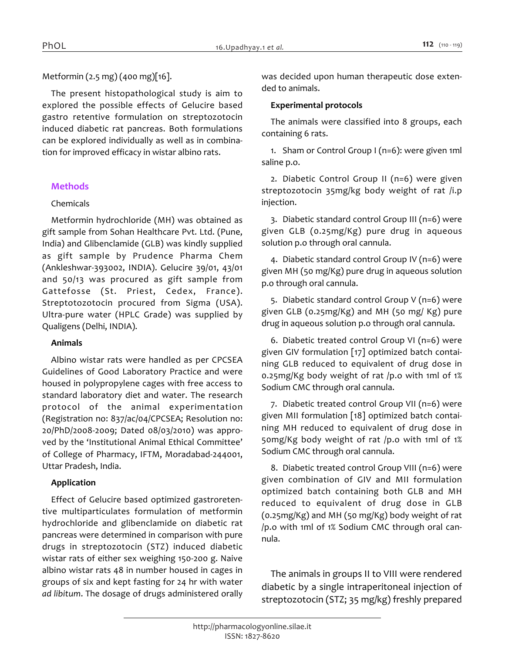## *Metformin (2.5 mg) (400 mg)[16].*

*The present histopathological study is aim to explored the possible effects of Gelucire based gastro retentive formulation on streptozotocin induced diabetic rat pancreas. Both formulations can be explored individually as well as in combination for improved efficacy in wistar albino rats.*

#### *Methods*

#### *Chemicals*

*Metformin hydrochloride (MH) was obtained as gift sample from Sohan Healthcare Pvt. Ltd. (Pune, India) and Glibenclamide (GLB) was kindly supplied as gift sample by Prudence Pharma Chem (Ankleshwar-393002, INDIA). Gelucire 39/01, 43/01 and 50/13 was procured as gift sample from Gattefosse (St. Priest, Cedex, France). Streptotozotocin procured from Sigma (USA). Ultra-pure water (HPLC Grade) was supplied by Qualigens (Delhi, INDIA).*

#### *Animals*

*Albino wistar rats were handled as per CPCSEA Guidelines of Good Laboratory Practice and were housed in polypropylene cages with free access to standard laboratory diet and water. The research protocol of the animal experimentation (Registration no: 837/ac/04/CPCSEA; Resolution no: 20/PhD/2008-2009; Dated 08/03/2010) was approved by the 'Institutional Animal Ethical Committee' of College of Pharmacy, IFTM, Moradabad-244001, Uttar Pradesh, India.*

#### *Application*

*Effect of Gelucire based optimized gastroretentive multiparticulates formulation of metformin hydrochloride and glibenclamide on diabetic rat pancreas were determined in comparison with pure drugs in streptozotocin (STZ) induced diabetic wistar rats of either sex weighing 150-200 g. Naive albino wistar rats 48 in number housed in cages in groups of six and kept fasting for 24 hr with water ad libitum. The dosage of drugs administered orally*  *was decided upon human therapeutic dose extended to animals.*

#### *Experimental protocols*

*The animals were classified into 8 groups, each containing 6 rats.*

*1. Sham or Control Group I (n=6): were given 1ml saline p.o.*

*2. Diabetic Control Group II (n=6) were given streptozotocin 35mg/kg body weight of rat /i.p injection.*

*3. Diabetic standard control Group III (n=6) were given GLB (0.25mg/Kg) pure drug in aqueous solution p.o through oral cannula.*

*4. Diabetic standard control Group IV (n=6) were given MH (50 mg/Kg) pure drug in aqueous solution p.o through oral cannula.*

*5. Diabetic standard control Group V (n=6) were given GLB (0.25mg/Kg) and MH (50 mg/ Kg) pure drug in aqueous solution p.o through oral cannula.*

*6. Diabetic treated control Group VI (n=6) were given GIV formulation [17] optimized batch containing GLB reduced to equivalent of drug dose in 0.25mg/Kg body weight of rat /p.o with 1ml of 1% Sodium CMC through oral cannula.*

*7. Diabetic treated control Group VII (n=6) were given MII formulation [18] optimized batch containing MH reduced to equivalent of drug dose in 50mg/Kg body weight of rat /p.o with 1ml of 1% Sodium CMC through oral cannula.*

*8. Diabetic treated control Group VIII (n=6) were given combination of GIV and MII formulation optimized batch containing both GLB and MH reduced to equivalent of drug dose in GLB (0.25mg/Kg) and MH (50 mg/Kg) body weight of rat /p.o with 1ml of 1% Sodium CMC through oral cannula.*

*The animals in groups II to VIII were rendered diabetic by a single intraperitoneal injection of streptozotocin (STZ; 35 mg/kg) freshly prepared*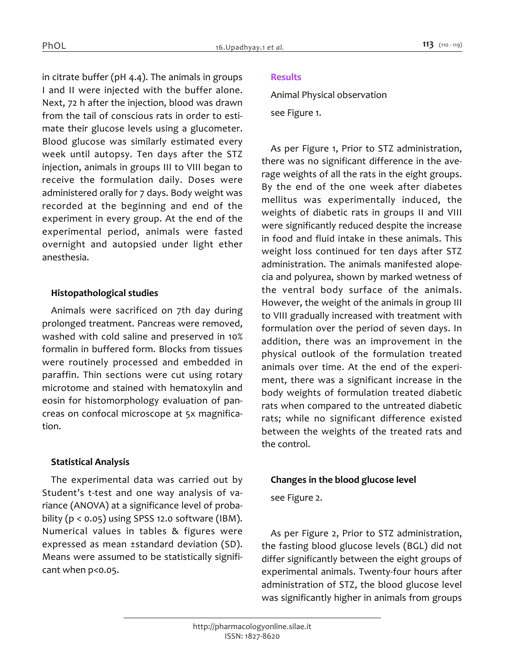*in citrate buffer (pH 4.4). The animals in groups I and II were injected with the buffer alone. Next, 72 h after the injection, blood was drawn from the tail of conscious rats in order to estimate their glucose levels using a glucometer. Blood glucose was similarly estimated every week until autopsy. Ten days after the STZ injection, animals in groups III to VIII began to receive the formulation daily. Doses were administered orally for 7 days. Body weight was recorded at the beginning and end of the experiment in every group. At the end of the experimental period, animals were fasted overnight and autopsied under light ether anesthesia.*

#### *Histopathological studies*

*Animals were sacrificed on 7th day during prolonged treatment. Pancreas were removed, washed with cold saline and preserved in 10% formalin in buffered form. Blocks from tissues were routinely processed and embedded in paraffin. Thin sections were cut using rotary microtome and stained with hematoxylin and eosin for histomorphology evaluation of pancreas on confocal microscope at 5x magnification.*

#### *Statistical Analysis*

*The experimental data was carried out by Student's t-test and one way analysis of variance (ANOVA) at a significance level of probability (p < 0.05) using SPSS 12.0 software (IBM). Numerical values in tables & figures were expressed as mean ±standard deviation (SD). Means were assumed to be statistically significant when p<0.05.*

## *Results*

*Animal Physical observation*

*see Figure 1.*

*As per Figure 1, Prior to STZ administration, there was no significant difference in the average weights of all the rats in the eight groups. By the end of the one week after diabetes mellitus was experimentally induced, the weights of diabetic rats in groups II and VIII were significantly reduced despite the increase in food and fluid intake in these animals. This weight loss continued for ten days after STZ administration. The animals manifested alopecia and polyurea, shown by marked wetness of the ventral body surface of the animals. However, the weight of the animals in group III to VIII gradually increased with treatment with formulation over the period of seven days. In addition, there was an improvement in the physical outlook of the formulation treated animals over time. At the end of the experiment, there was a significant increase in the body weights of formulation treated diabetic rats when compared to the untreated diabetic rats; while no significant difference existed between the weights of the treated rats and the control.*

#### *Changes in the blood glucose level*

*see Figure 2.*

*As per Figure 2, Prior to STZ administration, the fasting blood glucose levels (BGL) did not differ significantly between the eight groups of experimental animals. Twenty-four hours after administration of STZ, the blood glucose level was significantly higher in animals from groups*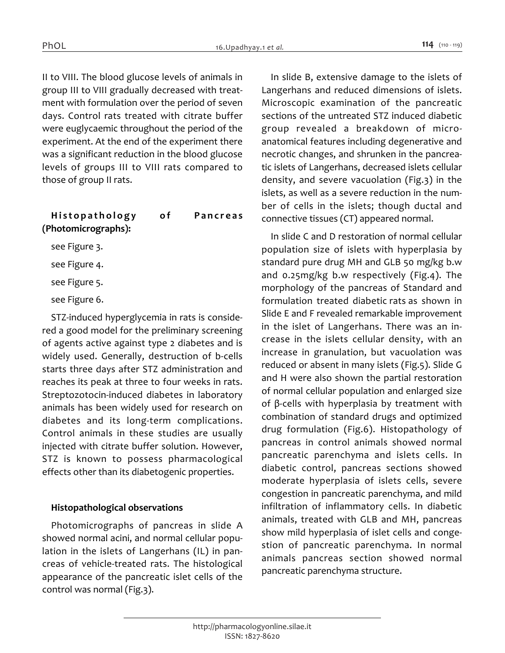*II to VIII. The blood glucose levels of animals in group III to VIII gradually decreased with treatment with formulation over the period of seven days. Control rats treated with citrate buffer were euglycaemic throughout the period of the experiment. At the end of the experiment there was a significant reduction in the blood glucose levels of groups III to VIII rats compared to those of group II rats.*

# *Histopathology of Pancreas (Photomicrographs): see Figure 3. see Figure 4.*

*see Figure 5.*

*see Figure 6.*

*STZ-induced hyperglycemia in rats is considered a good model for the preliminary screening of agents active against type 2 diabetes and is widely used. Generally, destruction of b-cells starts three days after STZ administration and reaches its peak at three to four weeks in rats. Streptozotocin-induced diabetes in laboratory animals has been widely used for research on diabetes and its long-term complications. Control animals in these studies are usually injected with citrate buffer solution. However, STZ is known to possess pharmacological effects other than its diabetogenic properties.*

#### *Histopathological observations*

*Photomicrographs of pancreas in slide A showed normal acini, and normal cellular population in the islets of Langerhans (IL) in pancreas of vehicle-treated rats. The histological appearance of the pancreatic islet cells of the control was normal (Fig.3).*

*In slide B, extensive damage to the islets of Langerhans and reduced dimensions of islets. Microscopic examination of the pancreatic sections of the untreated STZ induced diabetic group revealed a breakdown of microanatomical features including degenerative and necrotic changes, and shrunken in the pancreatic islets of Langerhans, decreased islets cellular density, and severe vacuolation (Fig.3) in the islets, as well as a severe reduction in the number of cells in the islets; though ductal and connective tissues (CT) appeared normal.*

*In slide C and D restoration of normal cellular population size of islets with hyperplasia by standard pure drug MH and GLB 50 mg/kg b.w and 0.25mg/kg b.w respectively (Fig.4). The morphology of the pancreas of Standard and formulation treated diabetic rats as shown in Slide E and F revealed remarkable improvement in the islet of Langerhans. There was an increase in the islets cellular density, with an increase in granulation, but vacuolation was reduced or absent in many islets (Fig.5). Slide G and H were also shown the partial restoration of normal cellular population and enlarged size of β-cells with hyperplasia by treatment with combination of standard drugs and optimized drug formulation (Fig.6). Histopathology of pancreas in control animals showed normal pancreatic parenchyma and islets cells. In diabetic control, pancreas sections showed moderate hyperplasia of islets cells, severe congestion in pancreatic parenchyma, and mild infiltration of inflammatory cells. In diabetic animals, treated with GLB and MH, pancreas show mild hyperplasia of islet cells and congestion of pancreatic parenchyma. In normal animals pancreas section showed normal pancreatic parenchyma structure.*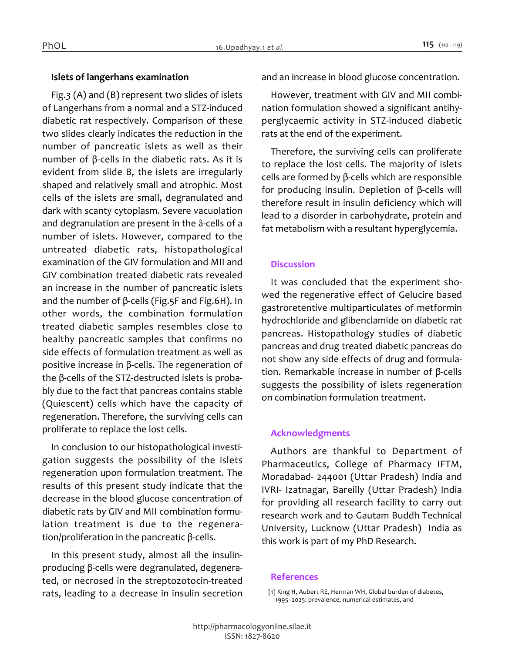#### *Islets of langerhans examination*

*Fig.3 (A) and (B) represent two slides of islets of Langerhans from a normal and a STZ-induced diabetic rat respectively. Comparison of these two slides clearly indicates the reduction in the number of pancreatic islets as well as their number of β-cells in the diabetic rats. As it is evident from slide B, the islets are irregularly shaped and relatively small and atrophic. Most cells of the islets are small, degranulated and dark with scanty cytoplasm. Severe vacuolation and degranulation are present in the â-cells of a number of islets. However, compared to the untreated diabetic rats, histopathological examination of the GIV formulation and MII and GIV combination treated diabetic rats revealed an increase in the number of pancreatic islets and the number of β-cells (Fig.5F and Fig.6H). In other words, the combination formulation treated diabetic samples resembles close to healthy pancreatic samples that confirms no side effects of formulation treatment as well as positive increase in β-cells. The regeneration of the β-cells of the STZ-destructed islets is probably due to the fact that pancreas contains stable (Quiescent) cells which have the capacity of regeneration. Therefore, the surviving cells can proliferate to replace the lost cells.*

*In conclusion to our histopathological investigation suggests the possibility of the islets regeneration upon formulation treatment. The results of this present study indicate that the decrease in the blood glucose concentration of diabetic rats by GIV and MII combination formulation treatment is due to the regeneration/proliferation in the pancreatic β-cells.*

*In this present study, almost all the insulinproducing β-cells were degranulated, degenerated, or necrosed in the streptozotocin-treated rats, leading to a decrease in insulin secretion*  *and an increase in blood glucose concentration.*

*However, treatment with GIV and MII combination formulation showed a significant antihyperglycaemic activity in STZ-induced diabetic rats at the end of the experiment.*

*Therefore, the surviving cells can proliferate to replace the lost cells. The majority of islets cells are formed by β-cells which are responsible for producing insulin. Depletion of β-cells will therefore result in insulin deficiency which will lead to a disorder in carbohydrate, protein and fat metabolism with a resultant hyperglycemia.*

## *Discussion*

*It was concluded that the experiment showed the regenerative effect of Gelucire based gastroretentive multiparticulates of metformin hydrochloride and glibenclamide on diabetic rat pancreas. Histopathology studies of diabetic pancreas and drug treated diabetic pancreas do not show any side effects of drug and formulation. Remarkable increase in number of β-cells suggests the possibility of islets regeneration on combination formulation treatment.*

#### *Acknowledgments*

*Authors are thankful to Department of Pharmaceutics, College of Pharmacy IFTM, Moradabad- 244001 (Uttar Pradesh) India and IVRI- Izatnagar, Bareilly (Uttar Pradesh) India for providing all research facility to carry out research work and to Gautam Buddh Technical University, Lucknow (Uttar Pradesh) India as this work is part of my PhD Research.*

#### *References*

*[1] King H, Aubert RE, Herman WH, Global burden of diabetes, 1995–2025: prevalence, numerical estimates, and*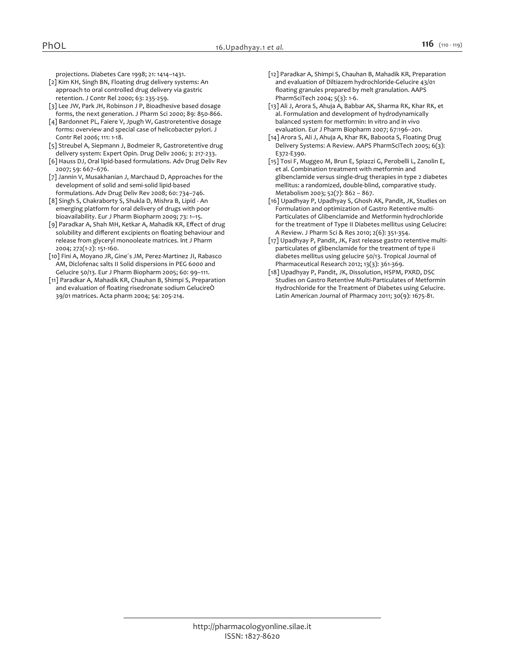*projections. Diabetes Care 1998; 21: 1414–1431.*

- *[2] Kim KH, Singh BN, Floating drug delivery systems: An approach to oral controlled drug delivery via gastric retention. J Contr Rel 2000; 63: 235-259.*
- *[3] Lee JW, Park JH, Robinson J P, Bioadhesive based dosage forms, the next generation. J Pharm Sci 2000; 89: 850-866.*
- *[4] Bardonnet PL, Faiere V, Jpugh W, Gastroretentive dosage forms: overview and special case of helicobacter pylori. J Contr Rel 2006; 111: 1-18.*
- *[5] Streubel A, Siepmann J, Bodmeier R, Gastroretentive drug delivery system: Expert Opin. Drug Deliv 2006; 3: 217-233.*
- *[6] Hauss DJ, Oral lipid-based formulations. Adv Drug Deliv Rev 2007; 59: 667–676.*
- *[7] Jannin V, Musakhanian J, Marchaud D, Approaches for the development of solid and semi-solid lipid-based*
- *formulations. Adv Drug Deliv Rev 2008; 60: 734–746. [8] Singh S, Chakraborty S, Shukla D, Mishra B, Lipid - An emerging platform for oral delivery of drugs with poor bioavailability. Eur J Pharm Biopharm 2009; 73: 1–15.*
- *[9] Paradkar A, Shah MH, Ketkar A, Mahadik KR, Effect of drug solubility and different excipients on floating behaviour and release from glyceryl monooleate matrices. Int J Pharm 2004; 272(1-2): 151-160.*
- *[10] Fini A, Moyano JR, Gine´s JM, Perez-Martinez JI, Rabasco AM, Diclofenac salts II Solid dispersions in PEG 6000 and Gelucire 50/13. Eur J Pharm Biopharm 2005; 60: 99–111.*
- *[11] Paradkar A, Mahadik KR, Chauhan B, Shimpi S, Preparation and evaluation of floating risedronate sodium GelucireÒ 39/01 matrices. Acta pharm 2004; 54: 205-214.*
- *[12] Paradkar A, Shimpi S, Chauhan B, Mahadik KR, Preparation and evaluation of Diltiazem hydrochloride-Gelucire 43/01 floating granules prepared by melt granulation. AAPS PharmSciTech 2004; 5(3): 1-6.*
- *[13] Ali J, Arora S, Ahuja A, Babbar AK, Sharma RK, Khar RK, et al. Formulation and development of hydrodynamically balanced system for metformin: In vitro and in vivo evaluation. Eur J Pharm Biopharm 2007; 67:196–201.*
- *[14] Arora S, Ali J, Ahuja A, Khar RK, Baboota S, Floating Drug Delivery Systems: A Review. AAPS PharmSciTech 2005; 6(3): E372-E390.*
- *[15] Tosi F, Muggeo M, Brun E, Spiazzi G, Perobelli L, Zanolin E, et al. Combination treatment with metformin and glibenclamide versus single-drug therapies in type 2 diabetes mellitus: a randomized, double-blind, comparative study. Metabolism 2003; 52(7): 862 – 867.*
- *[16] Upadhyay P, Upadhyay S, Ghosh AK, Pandit, JK, Studies on Formulation and optimization of Gastro Retentive multi-Particulates of Glibenclamide and Metformin hydrochloride for the treatment of Type II Diabetes mellitus using Gelucire: A Review. J Pharm Sci & Res 2010; 2(6): 351-354.*
- *[17] Upadhyay P, Pandit, JK, Fast release gastro retentive multiparticulates of glibenclamide for the treatment of type ii diabetes mellitus using gelucire 50/13. Tropical Journal of Pharmaceutical Research 2012; 13(3): 361-369.*
- *[18] Upadhyay P, Pandit, JK, Dissolution, HSPM, PXRD, DSC Studies on Gastro Retentive Multi-Particulates of Metformin Hydrochloride for the Treatment of Diabetes using Gelucire. Latin American Journal of Pharmacy 2011; 30(9): 1675-81.*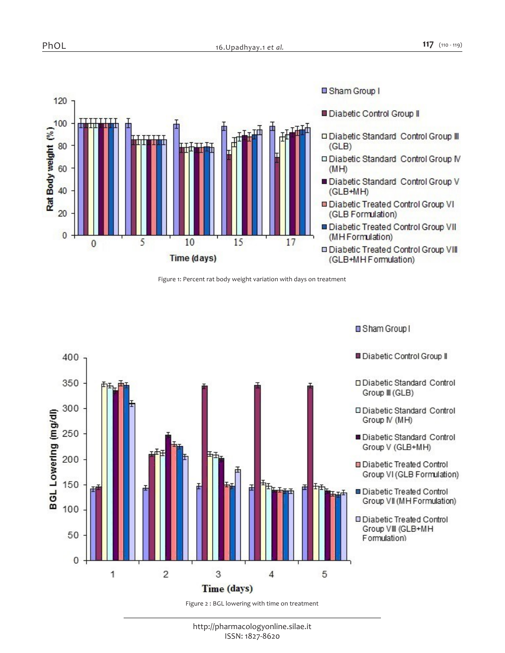Sham Group I



*Figure 1: Percent rat body weight variation with days on treatment*



*Figure 2 : BGL lowering with time on treatment*

*http://pharmacologyonline.silae.it ISSN: 1827-8620*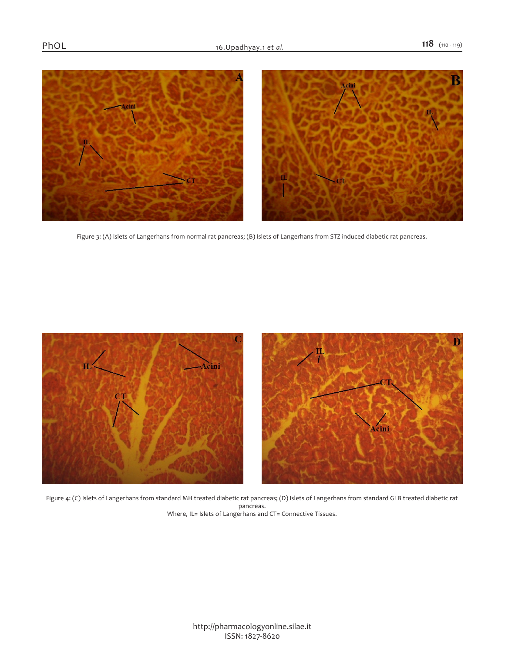

*Figure 3: (A) Islets of Langerhans from normal rat pancreas; (B) Islets of Langerhans from STZ induced diabetic rat pancreas.*



*Figure 4: (C) Islets of Langerhans from standard MH treated diabetic rat pancreas; (D) Islets of Langerhans from standard GLB treated diabetic rat pancreas. Where, IL= Islets of Langerhans and CT= Connective Tissues.*